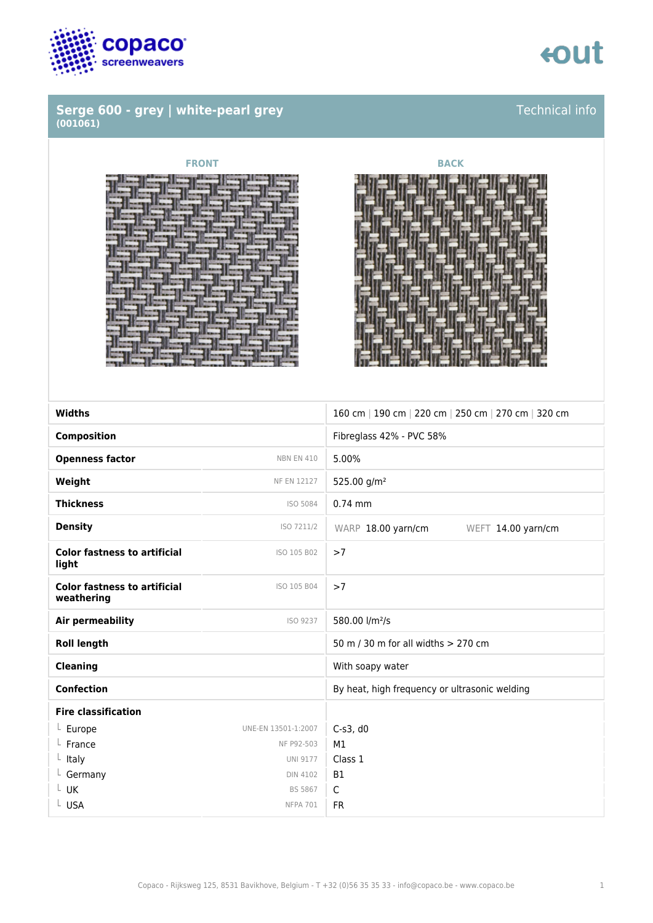

### **Serge 600 - grey | white-pearl grey (001061)**

# tout

Technical info



### **FRONT BACK**



| <b>Widths</b>                                     |                     | 160 cm   190 cm   220 cm   250 cm   270 cm   320 cm |
|---------------------------------------------------|---------------------|-----------------------------------------------------|
| <b>Composition</b>                                |                     | Fibreglass 42% - PVC 58%                            |
| <b>Openness factor</b>                            | <b>NBN EN 410</b>   | 5.00%                                               |
| Weight                                            | NF EN 12127         | 525.00 g/m <sup>2</sup>                             |
| <b>Thickness</b>                                  | ISO 5084            | $0.74$ mm                                           |
| <b>Density</b>                                    | ISO 7211/2          | WARP 18.00 yarn/cm<br>WEFT 14.00 yarn/cm            |
| <b>Color fastness to artificial</b><br>light      | ISO 105 B02         | >7                                                  |
| <b>Color fastness to artificial</b><br>weathering | ISO 105 B04         | >7                                                  |
| <b>Air permeability</b>                           | ISO 9237            | 580.00 l/m <sup>2</sup> /s                          |
| <b>Roll length</b>                                |                     | 50 m / 30 m for all widths > 270 cm                 |
| <b>Cleaning</b>                                   |                     | With soapy water                                    |
| <b>Confection</b>                                 |                     | By heat, high frequency or ultrasonic welding       |
| <b>Fire classification</b>                        |                     |                                                     |
| $L$ Europe                                        | UNE-EN 13501-1:2007 | $C-s3$ , d $0$                                      |
| France                                            | NF P92-503          | M1                                                  |
| $L$ Italy                                         | <b>UNI 9177</b>     | Class 1                                             |
| L Germany                                         | <b>DIN 4102</b>     | <b>B1</b>                                           |
| L UK                                              | <b>BS 5867</b>      | $\mathsf{C}$                                        |
| L USA                                             | <b>NFPA 701</b>     | <b>FR</b>                                           |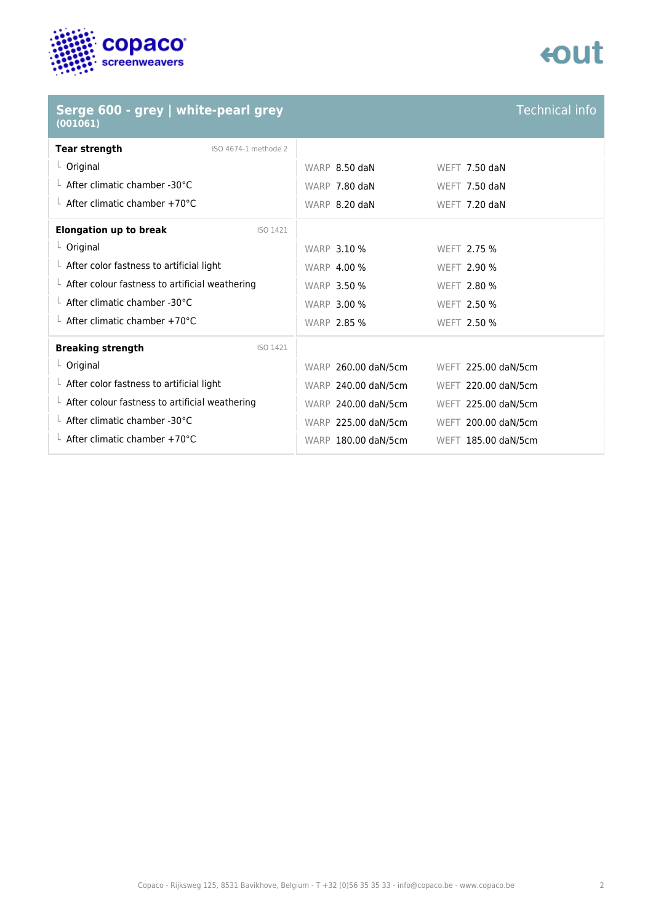

## tout

| Serge 600 - grey   white-pearl grey<br>(001061)        |                     | <b>Technical info</b> |
|--------------------------------------------------------|---------------------|-----------------------|
| <b>Tear strength</b><br>ISO 4674-1 methode 2           |                     |                       |
| $L$ Original                                           | WARP 8.50 daN       | <b>WEFT 7.50 daN</b>  |
| $\perp$ After climatic chamber -30°C                   | WARP 7.80 daN       | <b>WEFT 7.50 daN</b>  |
| $\perp$ After climatic chamber +70°C                   | WARP 8.20 daN       | WEFT 7.20 daN         |
| <b>Elongation up to break</b><br>ISO 1421              |                     |                       |
| $L$ Original                                           | <b>WARP 3.10 %</b>  | WEFT 2.75 %           |
| $\perp$ After color fastness to artificial light       | <b>WARP 4.00 %</b>  | WEFT 2.90 %           |
| $\perp$ After colour fastness to artificial weathering | <b>WARP 3.50 %</b>  | WEFT 2.80 %           |
| $\perp$ After climatic chamber -30°C                   | <b>WARP 3.00 %</b>  | WEFT 2.50 %           |
| $\perp$ After climatic chamber +70°C                   | <b>WARP 2.85 %</b>  | WEFT 2.50 %           |
| <b>Breaking strength</b><br>ISO 1421                   |                     |                       |
| $L$ Original                                           | WARP 260.00 daN/5cm | WEFT 225.00 daN/5cm   |
| $\perp$ After color fastness to artificial light       | WARP 240.00 daN/5cm | WEFT 220.00 daN/5cm   |
| $\perp$ After colour fastness to artificial weathering | WARP 240.00 daN/5cm | WEFT 225.00 daN/5cm   |
| $\perp$ After climatic chamber -30°C                   | WARP 225.00 daN/5cm | WEFT 200.00 daN/5cm   |
| $\perp$ After climatic chamber +70°C                   | WARP 180.00 daN/5cm | WEFT 185.00 daN/5cm   |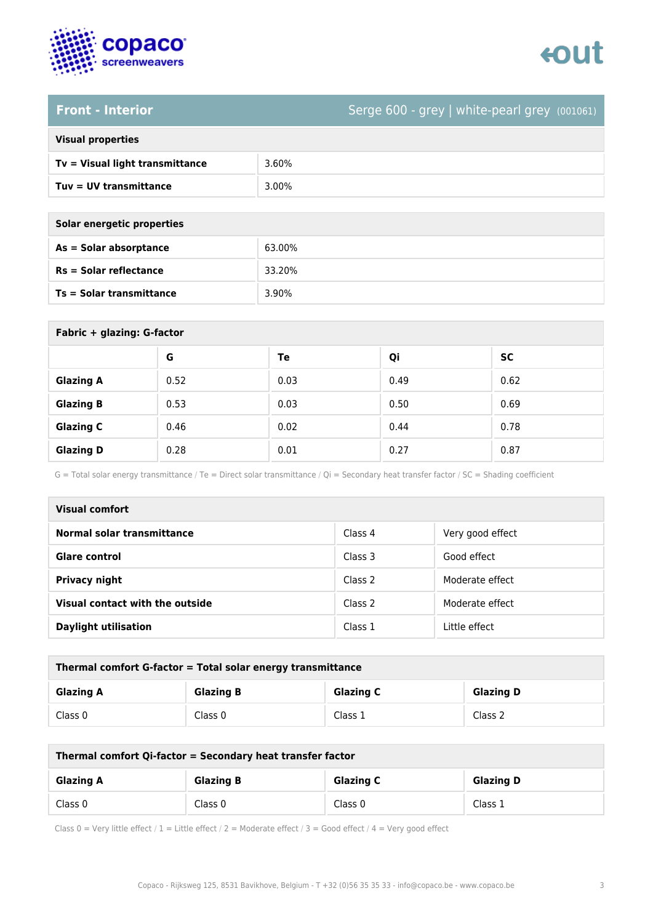

# tout

### **Front - Interior** Serge 600 - grey | white-pearl grey (001061)

| <b>Visual properties</b> |  |  |
|--------------------------|--|--|
|                          |  |  |

| Tv = Visual light transmittance | 3.60% |
|---------------------------------|-------|
| $Tuv = UV$ transmittance        | 3.00% |

| Solar energetic properties |
|----------------------------|
| As = Solar absorptance     |
|                            |

| As = Solar absorptance   | 63.00% |
|--------------------------|--------|
| $Rs = Solar$ reflectance | 33.20% |
| Ts = Solar transmittance | 3.90%  |

| Fabric + glazing: G-factor |      |      |      |           |
|----------------------------|------|------|------|-----------|
|                            | G    | Te   | Qi   | <b>SC</b> |
| <b>Glazing A</b>           | 0.52 | 0.03 | 0.49 | 0.62      |
| <b>Glazing B</b>           | 0.53 | 0.03 | 0.50 | 0.69      |
| <b>Glazing C</b>           | 0.46 | 0.02 | 0.44 | 0.78      |
| <b>Glazing D</b>           | 0.28 | 0.01 | 0.27 | 0.87      |

G = Total solar energy transmittance / Te = Direct solar transmittance / Qi = Secondary heat transfer factor / SC = Shading coefficient

| Visual comfort                  |         |                  |
|---------------------------------|---------|------------------|
| Normal solar transmittance      | Class 4 | Very good effect |
| <b>Glare control</b>            | Class 3 | Good effect      |
| Privacy night                   | Class 2 | Moderate effect  |
| Visual contact with the outside | Class 2 | Moderate effect  |
| <b>Daylight utilisation</b>     | Class 1 | Little effect    |

| Thermal comfort G-factor = Total solar energy transmittance |                  |                  |                  |
|-------------------------------------------------------------|------------------|------------------|------------------|
| <b>Glazing A</b>                                            | <b>Glazing B</b> | <b>Glazing C</b> | <b>Glazing D</b> |
| Class 0                                                     | Class 0          | Class 1          | Class 2          |

| Thermal comfort Qi-factor = Secondary heat transfer factor |                  |                  |                  |
|------------------------------------------------------------|------------------|------------------|------------------|
| <b>Glazing A</b>                                           | <b>Glazing B</b> | <b>Glazing C</b> | <b>Glazing D</b> |
| Class 0                                                    | Class 0          | Class 0          | Class 1          |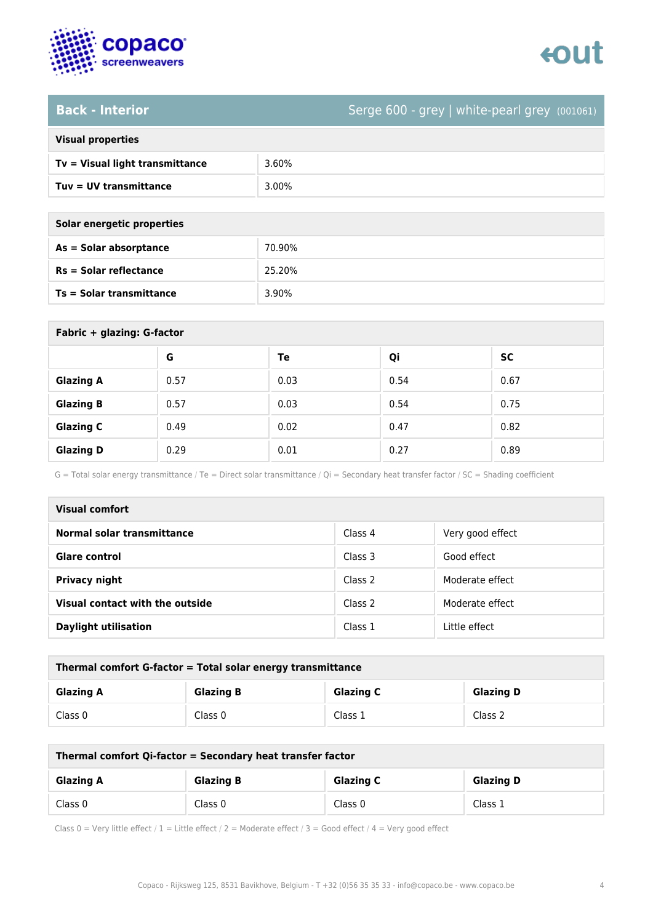

# tout

### **Back - Interior** Serge 600 - grey | white-pearl grey (001061)

|  | <b>Visual properties</b> |
|--|--------------------------|

| $Tv = Visual light transmittance$ | 3.60% |
|-----------------------------------|-------|
| Tuy = UV transmittance            | 3.00% |

**Solar energetic properties**

| As = Solar absorptance   | 70.90% |
|--------------------------|--------|
| $Rs = Solar$ reflectance | 25.20% |
| Ts = Solar transmittance | 3.90%  |

| Fabric + glazing: G-factor |      |      |      |           |
|----------------------------|------|------|------|-----------|
|                            | G    | Te   | Qi   | <b>SC</b> |
| <b>Glazing A</b>           | 0.57 | 0.03 | 0.54 | 0.67      |
| <b>Glazing B</b>           | 0.57 | 0.03 | 0.54 | 0.75      |
| <b>Glazing C</b>           | 0.49 | 0.02 | 0.47 | 0.82      |
| <b>Glazing D</b>           | 0.29 | 0.01 | 0.27 | 0.89      |

G = Total solar energy transmittance / Te = Direct solar transmittance / Qi = Secondary heat transfer factor / SC = Shading coefficient

| Visual comfort                  |         |                  |
|---------------------------------|---------|------------------|
| Normal solar transmittance      | Class 4 | Very good effect |
| <b>Glare control</b>            | Class 3 | Good effect      |
| Privacy night                   | Class 2 | Moderate effect  |
| Visual contact with the outside | Class 2 | Moderate effect  |
| <b>Daylight utilisation</b>     | Class 1 | Little effect    |

| Thermal comfort G-factor = Total solar energy transmittance |                  |                  |                  |
|-------------------------------------------------------------|------------------|------------------|------------------|
| <b>Glazing A</b>                                            | <b>Glazing B</b> | <b>Glazing C</b> | <b>Glazing D</b> |
| Class 0                                                     | Class 0          | Class 1          | Class 2          |

| Thermal comfort Qi-factor = Secondary heat transfer factor |                  |                  |                  |
|------------------------------------------------------------|------------------|------------------|------------------|
| <b>Glazing A</b>                                           | <b>Glazing B</b> | <b>Glazing C</b> | <b>Glazing D</b> |
| Class 0                                                    | Class 0          | Class 0          | Class 1          |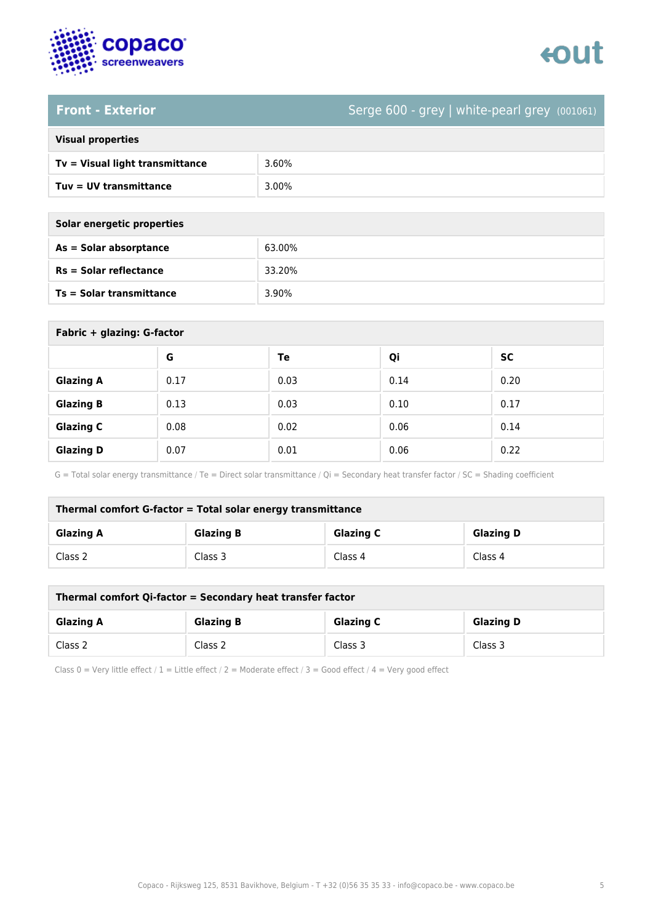

# enut

**Front - Exterior** Serge 600 - grey | white-pearl grey (001061)

### **Visual properties**

| $Tv = Visual light transmittance$ | 3.60% |
|-----------------------------------|-------|
| Tuy = UV transmittance            | 3.00% |

**Solar energetic properties**

| As = Solar absorptance          | 63.00% |
|---------------------------------|--------|
| $Rs = Solar$ reflectance        | 33.20% |
| <b>Ts = Solar transmittance</b> | 3.90%  |

| Fabric + glazing: G-factor |      |      |      |           |
|----------------------------|------|------|------|-----------|
|                            | G    | Te   | Qi   | <b>SC</b> |
| <b>Glazing A</b>           | 0.17 | 0.03 | 0.14 | 0.20      |
| <b>Glazing B</b>           | 0.13 | 0.03 | 0.10 | 0.17      |
| <b>Glazing C</b>           | 0.08 | 0.02 | 0.06 | 0.14      |
| <b>Glazing D</b>           | 0.07 | 0.01 | 0.06 | 0.22      |

G = Total solar energy transmittance / Te = Direct solar transmittance / Qi = Secondary heat transfer factor / SC = Shading coefficient

| Thermal comfort G-factor = Total solar energy transmittance |                  |                  |                  |
|-------------------------------------------------------------|------------------|------------------|------------------|
| <b>Glazing A</b>                                            | <b>Glazing B</b> | <b>Glazing C</b> | <b>Glazing D</b> |
| Class 2                                                     | Class 3          | Class 4          | Class 4          |

| Thermal comfort Qi-factor = Secondary heat transfer factor |                  |                  |                  |
|------------------------------------------------------------|------------------|------------------|------------------|
| <b>Glazing A</b>                                           | <b>Glazing B</b> | <b>Glazing C</b> | <b>Glazing D</b> |
| Class 2                                                    | Class 2          | Class 3          | Class 3          |